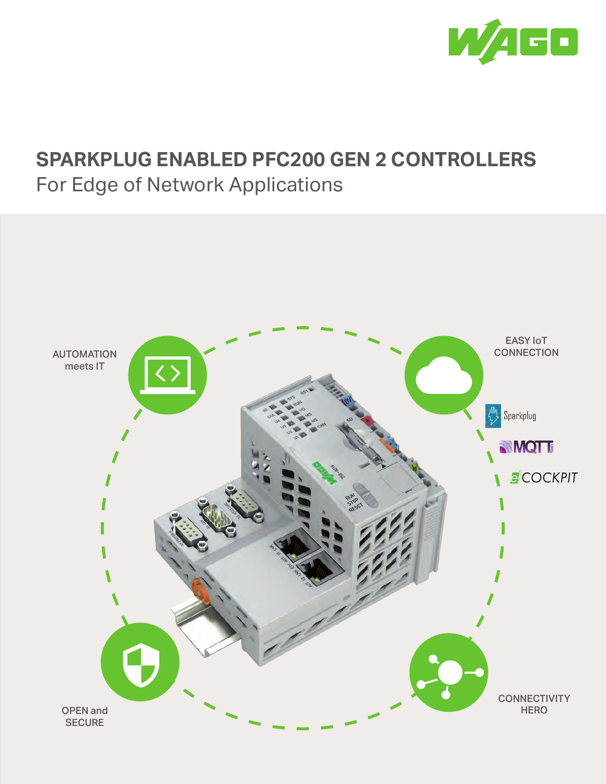

### **SPARKPLUG ENABLED PFC200 GEN 2 CONTROLLERS** For Edge of Network Applications

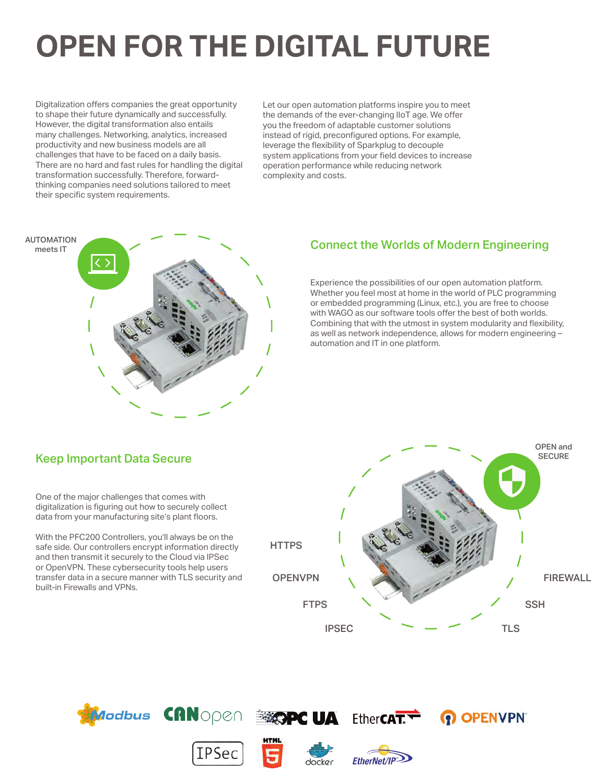# **OPEN FOR THE DIGITAL FUTURE**

Digitalization offers companies the great opportunity to shape their future dynamically and successfully. However, the digital transformation also entails many challenges. Networking, analytics, increased productivity and new business models are all challenges that have to be faced on a daily basis. There are no hard and fast rules for handling the digital transformation successfully. Therefore, forwardthinking companies need solutions tailored to meet their specific system requirements.

Let our open automation platforms inspire you to meet the demands of the ever-changing IIoT age. We offer you the freedom of adaptable customer solutions instead of rigid, preconfigured options. For example, leverage the flexibility of Sparkplug to decouple system applications from your field devices to increase operation performance while reducing network complexity and costs.



### Connect the Worlds of Modern Engineering

Experience the possibilities of our open automation platform. Whether you feel most at home in the world of PLC programming or embedded programming (Linux, etc.), you are free to choose with WAGO as our software tools offer the best of both worlds. Combining that with the utmost in system modularity and flexibility, as well as network independence, allows for modern engineering – automation and IT in one platform.

### Keep Important Data Secure

One of the major challenges that comes with digitalization is figuring out how to securely collect data from your manufacturing site's plant floors.

With the PFC200 Controllers, you'll always be on the safe side. Our controllers encrypt information directly and then transmit it securely to the Cloud via IPSec or OpenVPN. These cybersecurity tools help users transfer data in a secure manner with TLS security and built-in Firewalls and VPNs.



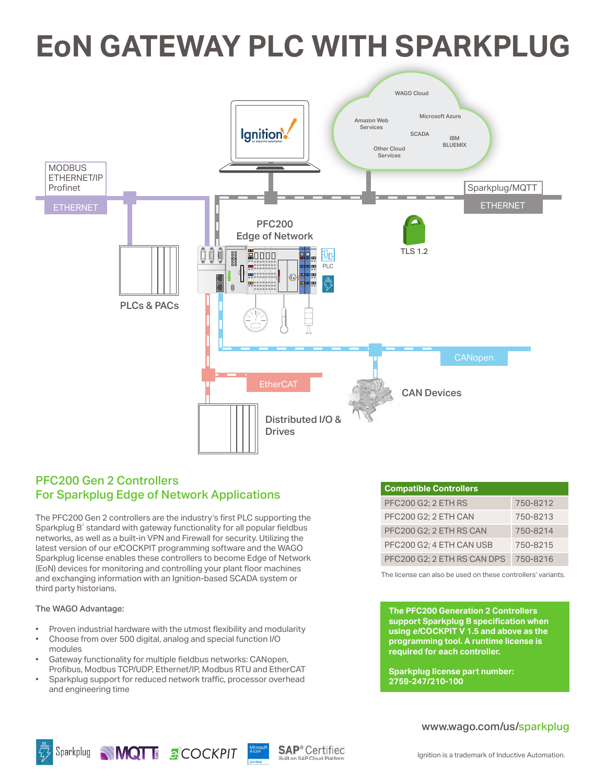## **EoN GATEWAY PLC WITH SPARKPLUG**



### PFC200 Gen 2 Controllers For Sparkplug Edge of Network Applications

The PFC200 Gen 2 controllers are the industry's first PLC supporting the  $S$ parkplug  $B^1$  standard with gateway functionality for all popular fieldbus networks, as well as a built-in VPN and Firewall for security. Utilizing the latest version of our *e!*COCKPIT programming software and the WAGO Sparkplug license enables these controllers to become Edge of Network (EoN) devices for monitoring and controlling your plant floor machines and exchanging information with an Ignition-based SCADA system or third party historians.

#### The WAGO Advantage:

- Proven industrial hardware with the utmost flexibility and modularity
- Choose from over 500 digital, analog and special function I/O modules
- Gateway functionality for multiple fieldbus networks: CANopen, Profibus, Modbus TCP/UDP, Ethernet/IP, Modbus RTU and EtherCAT
- Sparkplug support for reduced network traffic, processor overhead and engineering time

| <b>Compatible Controllers</b> |          |
|-------------------------------|----------|
| <b>PFC200 G2; 2 ETH RS</b>    | 750-8212 |
| PFC200 G2; 2 ETH CAN          | 750-8213 |
| PFC200 G2; 2 ETH RS CAN       | 750-8214 |
| PFC200 G2; 4 ETH CAN USB      | 750-8215 |
| PFC200 G2; 2 ETH RS CAN DPS   | 750-8216 |

The license can also be used on these controllers' variants.

**The PFC200 Generation 2 Controllers support Sparkplug B specification when using** *e!***COCKPIT V 1.5 and above as the programming tool. A runtime license is required for each controller.**

**Sparkplug license part number: 2759-247/210-100**



#### www.wago.com/us/sparkplug





**SAP**<sup>®</sup> Certified Built on SAP Cloud Platfo